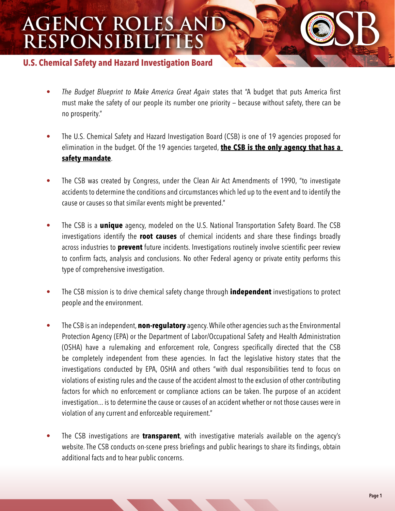## **AGENCY ROLES AND RESPONSIBILITIES**

## **U.S. Chemical Safety and Hazard Investigation Board**

- *The Budget Blueprint to Make America Great Again* states that "A budget that puts America first must make the safety of our people its number one priority — because without safety, there can be no prosperity."
- The U.S. Chemical Safety and Hazard Investigation Board (CSB) is one of 19 agencies proposed for elimination in the budget. Of the 19 agencies targeted, **the CSB is the only agency that has a safety mandate**.
- The CSB was created by Congress, under the Clean Air Act Amendments of 1990, "to investigate accidents to determine the conditions and circumstances which led up to the event and to identify the cause or causes so that similar events might be prevented."
- The CSB is a **unique** agency, modeled on the U.S. National Transportation Safety Board. The CSB investigations identify the **root causes** of chemical incidents and share these findings broadly across industries to **prevent** future incidents. Investigations routinely involve scientific peer review to confirm facts, analysis and conclusions. No other Federal agency or private entity performs this type of comprehensive investigation.
- The CSB mission is to drive chemical safety change through **independent** investigations to protect people and the environment.
- The CSB is an independent, **non-regulatory** agency. While other agencies such as the Environmental Protection Agency (EPA) or the Department of Labor/Occupational Safety and Health Administration (OSHA) have a rulemaking and enforcement role, Congress specifically directed that the CSB be completely independent from these agencies. In fact the legislative history states that the investigations conducted by EPA, OSHA and others "with dual responsibilities tend to focus on violations of existing rules and the cause of the accident almost to the exclusion of other contributing factors for which no enforcement or compliance actions can be taken. The purpose of an accident investigation... is to determine the cause or causes of an accident whether or not those causes were in violation of any current and enforceable requirement."
- The CSB investigations are **transparent**, with investigative materials available on the agency's website. The CSB conducts on-scene press briefings and public hearings to share its findings, obtain additional facts and to hear public concerns.